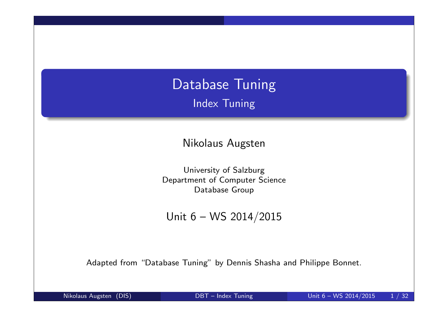# Database Tuning Index Tuning

Nikolaus Augsten

University of Salzburg Department of Computer Science Database Group

Unit 6 – WS 2014/2015

Adapted from "Database Tuning" by Dennis Shasha and Philippe Bonnet.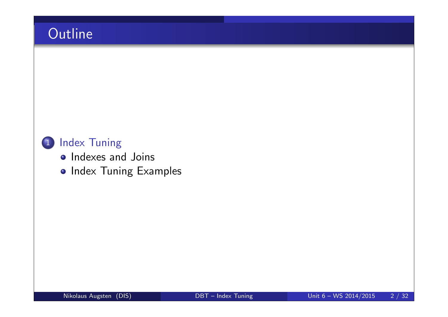# **Outline**

### 1 Index Tuning

- Indexes and Joins
- **Index Tuning Examples**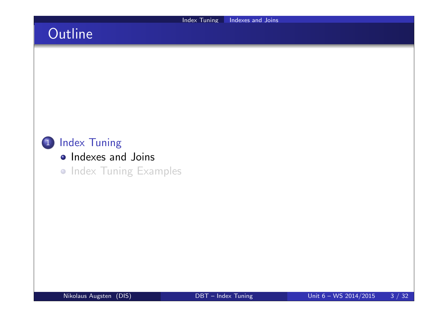# **Outline**



- **•** Indexes and Joins
- **Index Tuning Examples**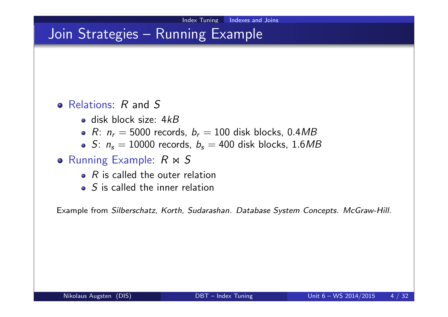## Join Strategies - Running Example

#### • Relations: R and S

- $\bullet$  disk block size:  $4kB$
- R:  $n_r = 5000$  records,  $b_r = 100$  disk blocks, 0.4MB
- S:  $n_s = 10000$  records,  $b_s = 400$  disk blocks, 1.6MB

#### **• Running Example:**  $R \bowtie S$

- $\bullet$  R is called the outer relation
- $\bullet$  S is called the inner relation

Example from Silberschatz, Korth, Sudarashan. Database System Concepts. McGraw-Hill.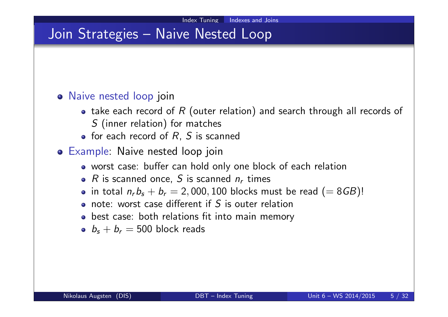## Join Strategies – Naive Nested Loop

#### Naive nested loop join

- take each record of  $R$  (outer relation) and search through all records of S (inner relation) for matches
- $\bullet$  for each record of  $R$ ,  $S$  is scanned
- Example: Naive nested loop join
	- worst case: buffer can hold only one block of each relation
	- $R$  is scanned once,  $S$  is scanned  $n_r$  times
	- in total  $n_r b_s + b_r = 2,000,100$  blocks must be read  $(= 8\,)!$
	- note: worst case different if S is outer relation
	- best case: both relations fit into main memory
	- $b_s + b_r = 500$  block reads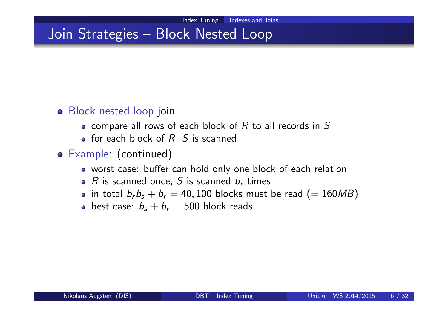# Join Strategies – Block Nested Loop

#### Block nested loop join

- $\bullet$  compare all rows of each block of R to all records in S
- $\bullet$  for each block of  $R$ ,  $S$  is scanned
- Example: (continued)
	- worst case: buffer can hold only one block of each relation
	- $R$  is scanned once,  $S$  is scanned  $b_r$  times
	- in total  $b_r b_s + b_r = 40,100$  blocks must be read  $(= 160 MB)$
	- best case:  $b_s + b_r = 500$  block reads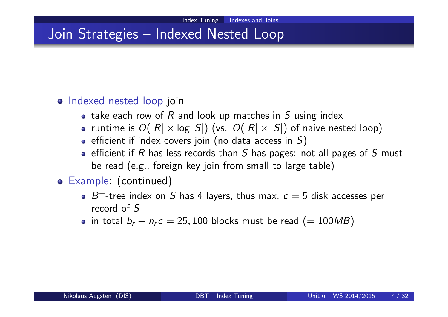## Join Strategies – Indexed Nested Loop

#### o Indexed nested loop join

- take each row of  $R$  and look up matches in  $S$  using index
- runtime is  $O(|R| \times \log |S|)$  (vs.  $O(|R| \times |S|)$  of naive nested loop)
- $\bullet$  efficient if index covers join (no data access in S)
- **•** efficient if R has less records than S has pages: not all pages of S must be read (e.g., foreign key join from small to large table)

#### Example: (continued)

- $B^+$ -tree index on S has 4 layers, thus max.  $c=5$  disk accesses per record of S
- in total  $b_r + n_r c = 25,100$  blocks must be read  $(=100MB)$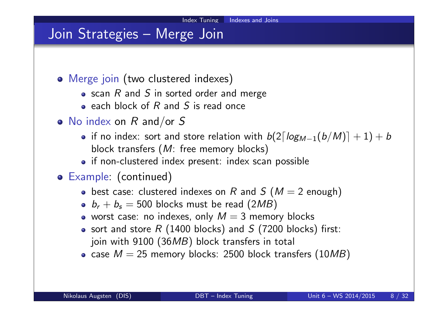### Join Strategies – Merge Join

- Merge join (two clustered indexes)
	- $\bullet$  scan R and S in sorted order and merge
	- $\bullet$  each block of R and S is read once
- $\bullet$  No index on R and/or S
	- if no index: sort and store relation with  $\left. \frac{b}{2\lceil log_{M-1}(b/M)\rceil+1)+b} \right.$ block transfers (M: free memory blocks)
	- if non-clustered index present: index scan possible
- Example: (continued)
	- best case: clustered indexes on R and S ( $M = 2$  enough)
	- $b_r + b_s = 500$  blocks must be read  $(2MB)$
	- worst case: no indexes, only  $M = 3$  memory blocks
	- sort and store  $R$  (1400 blocks) and  $S$  (7200 blocks) first: join with 9100 (36MB) block transfers in total
	- case  $M = 25$  memory blocks: 2500 block transfers (10MB)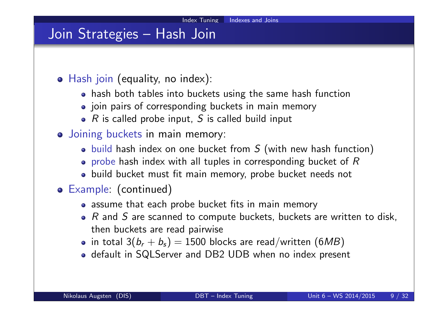## Join Strategies – Hash Join

- Hash join (equality, no index):
	- hash both tables into buckets using the same hash function
	- join pairs of corresponding buckets in main memory
	- $\bullet$  R is called probe input, S is called build input
- Joining buckets in main memory:
	- $\bullet$  build hash index on one bucket from S (with new hash function)
	- $\bullet$  probe hash index with all tuples in corresponding bucket of R
	- build bucket must fit main memory, probe bucket needs not
- Example: (continued)
	- assume that each probe bucket fits in main memory
	- $\bullet$  R and S are scanned to compute buckets, buckets are written to disk, then buckets are read pairwise
	- in total 3 $(b_r + b_s) = 1500$  blocks are read/written  $(6MB)$
	- default in SQLServer and DB2 UDB when no index present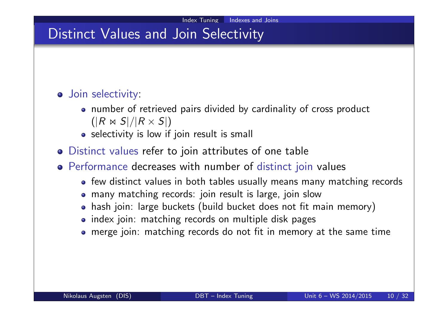## Distinct Values and Join Selectivity

#### **o** Join selectivity:

- number of retrieved pairs divided by cardinality of cross product  $(|R \Join S|/|R \times S|)$
- selectivity is low if join result is small
- Distinct values refer to join attributes of one table
- Performance decreases with number of distinct join values
	- few distinct values in both tables usually means many matching records
	- many matching records: join result is large, join slow
	- hash join: large buckets (build bucket does not fit main memory)
	- index join: matching records on multiple disk pages
	- merge join: matching records do not fit in memory at the same time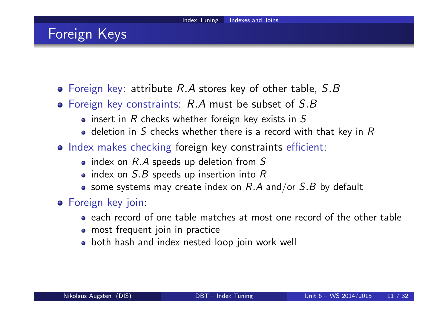## Foreign Keys

- $\bullet$  Foreign key: attribute R.A stores key of other table, S.B
- Foreign key constraints: R.A must be subset of S.B
	- $\bullet$  insert in R checks whether foreign key exists in S
	- $\bullet$  deletion in S checks whether there is a record with that key in R
- o Index makes checking foreign key constraints efficient:
	- $\bullet$  index on  $R.A$  speeds up deletion from S
	- index on  $S.B$  speeds up insertion into R
	- some systems may create index on  $R.A$  and/or  $S.B$  by default
- **•** Foreign key join:
	- each record of one table matches at most one record of the other table
	- most frequent join in practice
	- both hash and index nested loop join work well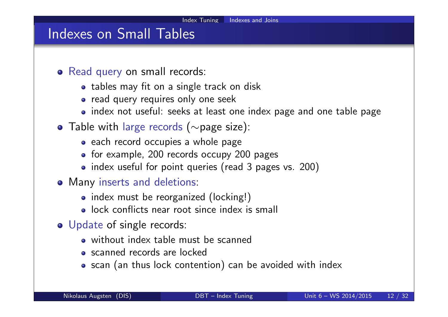### Indexes on Small Tables

- Read query on small records:
	- tables may fit on a single track on disk
	- read query requires only one seek
	- index not useful: seeks at least one index page and one table page
- Table with large records (∼page size):
	- each record occupies a whole page
	- for example, 200 records occupy 200 pages
	- index useful for point queries (read 3 pages vs. 200)
- Many inserts and deletions:
	- index must be reorganized (locking!)
	- **a** lock conflicts near root since index is small
- o Update of single records:
	- without index table must be scanned
	- scanned records are locked
	- scan (an thus lock contention) can be avoided with index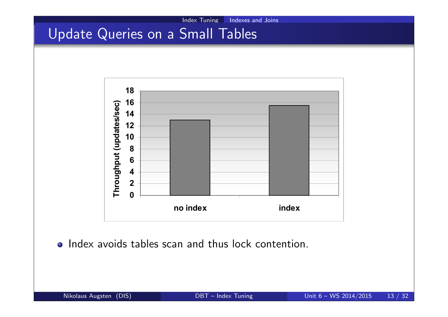## Update Queries on a Small Tables



• Index avoids tables scan and thus lock contention.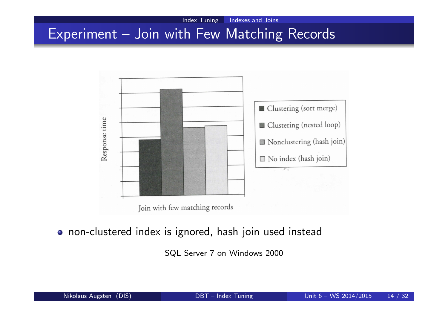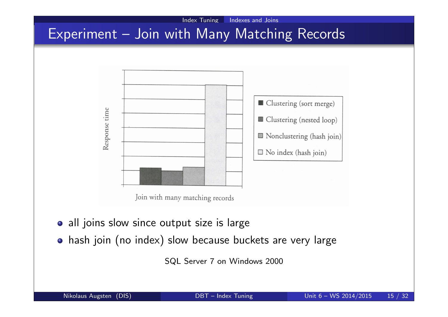#### Index Tuning Indexes and Joins Experiment – Join with Many Matching Records



Join with many matching records

- all joins slow since output size is large
- hash join (no index) slow because buckets are very large

SQL Server 7 on Windows 2000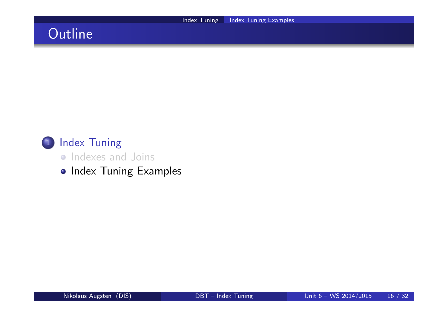# **Outline**



- **•** Indexes and Joins
- **Index Tuning Examples**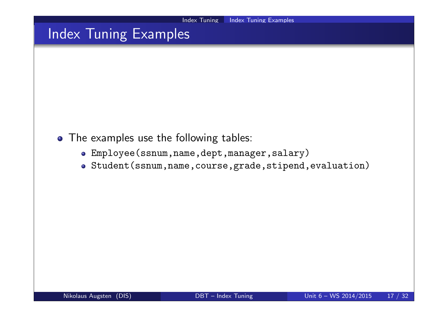# Index Tuning Examples

- The examples use the following tables:
	- Employee(ssnum,name,dept,manager,salary)
	- Student(ssnum,name,course,grade,stipend,evaluation)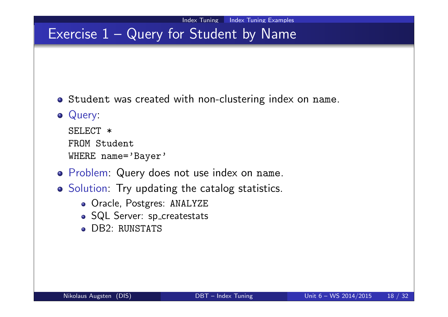## Exercise  $1 -$  Query for Student by Name

o Student was created with non-clustering index on name.

#### Query:

SELECT \* FROM Student WHERE name='Bayer'

- Problem: Query does not use index on name.
- o Solution: Try updating the catalog statistics.
	- Oracle, Postgres: ANALYZE
	- SQL Server: sp\_createstats
	- **DB2: RUNSTATS**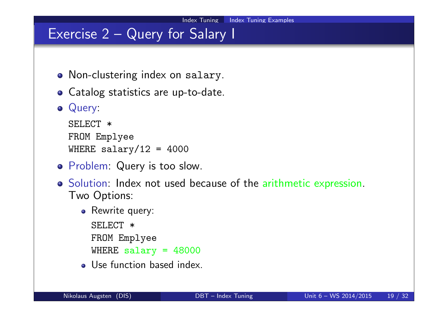## Exercise 2 – Query for Salary I

- Non-clustering index on salary.
- Catalog statistics are up-to-date.
- o Query:

```
SELECT *
FROM Emplyee
WHERE salary/12 = 4000
```
- **o** Problem: Query is too slow.
- o Solution: Index not used because of the arithmetic expression. Two Options:
	- Rewrite query:
	- SELECT \* FROM Emplyee WHERE salary  $= 48000$
	- Use function based index.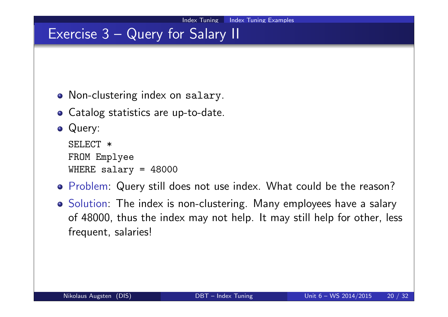## Exercise 3 – Query for Salary II

- Non-clustering index on salary.
- Catalog statistics are up-to-date.
- Query:

```
SELECT *
FROM Emplyee
WHERE salary = 48000
```
- Problem: Query still does not use index. What could be the reason?
- **•** Solution: The index is non-clustering. Many employees have a salary of 48000, thus the index may not help. It may still help for other, less frequent, salaries!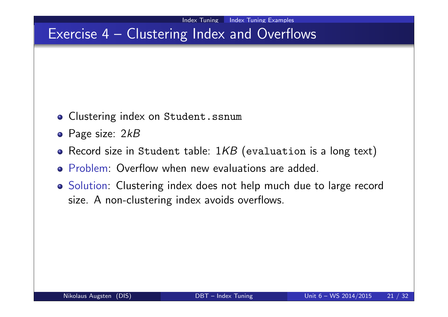## Exercise 4 – Clustering Index and Overflows

- **o** Clustering index on Student.ssnum
- Page size: 2kB
- Record size in Student table:  $1KB$  (evaluation is a long text)
- **Problem: Overflow when new evaluations are added.**
- Solution: Clustering index does not help much due to large record size. A non-clustering index avoids overflows.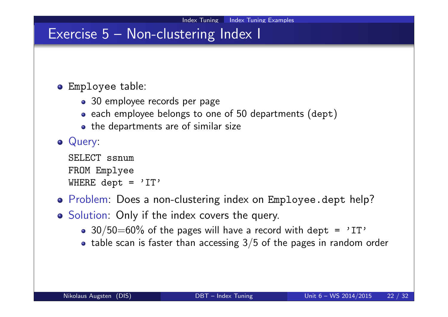## Exercise 5 – Non-clustering Index I

#### Employee table:

- 30 employee records per page
- each employee belongs to one of 50 departments (dept)
- the departments are of similar size

#### Query:

```
SELECT ssnum
FROM Emplyee
WHERE dept = 'IT'
```
- Problem: Does a non-clustering index on Employee.dept help?
- Solution: Only if the index covers the query.
	- $30/50=60\%$  of the pages will have a record with dept = 'IT'
	- table scan is faster than accessing  $3/5$  of the pages in random order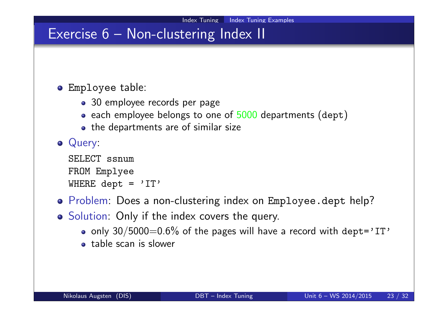## Exercise 6 – Non-clustering Index II

#### Employee table:

- 30 employee records per page
- each employee belongs to one of 5000 departments (dept)
- the departments are of similar size

#### Query:

```
SELECT ssnum
FROM Emplyee
WHERE dept = 'IT'
```
- Problem: Does a non-clustering index on Employee.dept help?
- Solution: Only if the index covers the query.
	- o only  $30/5000=0.6\%$  of the pages will have a record with dept='IT'
	- table scan is slower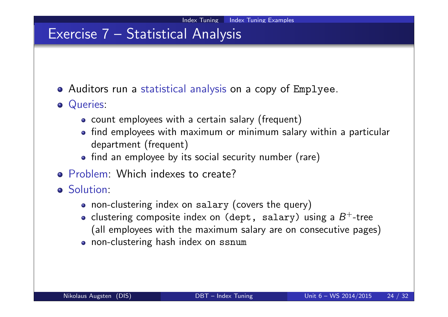## Exercise 7 – Statistical Analysis

- Auditors run a statistical analysis on a copy of Emplyee.
- **o** Queries:
	- count employees with a certain salary (frequent)
	- find employees with maximum or minimum salary within a particular department (frequent)
	- find an employee by its social security number (rare)
- o Problem: Which indexes to create?
- **o** Solution:
	- non-clustering index on salary (covers the query)
	- clustering composite index on (dept, salary) using a  $B^+$ -tree (all employees with the maximum salary are on consecutive pages)
	- non-clustering hash index on ssnum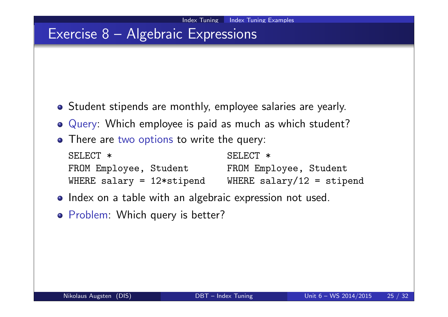## Exercise 8 – Algebraic Expressions

- Student stipends are monthly, employee salaries are yearly.
- Query: Which employee is paid as much as which student?
- There are two options to write the query:

| SELECT *                     | SELECT *                  |
|------------------------------|---------------------------|
| FROM Employee, Student       | FROM Employee, Student    |
| WHERE salary = $12*$ stipend | WHERE salary/12 = stipend |

- Index on a table with an algebraic expression not used.
- o Problem: Which query is better?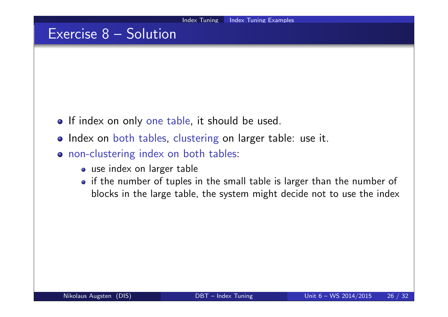## Exercise 8 – Solution

- **•** If index on only one table, it should be used.
- o Index on both tables, clustering on larger table: use it.
- o non-clustering index on both tables:
	- use index on larger table
	- if the number of tuples in the small table is larger than the number of blocks in the large table, the system might decide not to use the index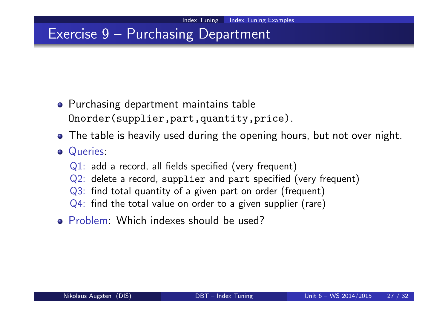## Exercise 9 – Purchasing Department

- **•** Purchasing department maintains table Onorder(supplier,part,quantity,price).
- The table is heavily used during the opening hours, but not over night.
- **o** Queries:
	- Q1: add a record, all fields specified (very frequent)
	- Q2: delete a record, supplier and part specified (very frequent)
	- Q3: find total quantity of a given part on order (frequent)
	- Q4: find the total value on order to a given supplier (rare)
- Problem: Which indexes should be used?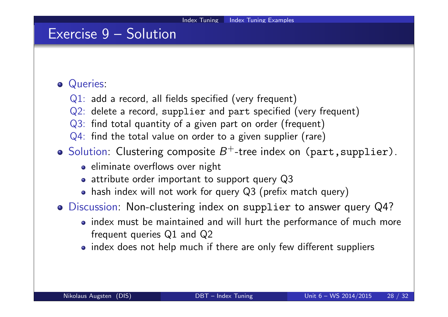## Exercise 9 – Solution

#### Queries:

- Q1: add a record, all fields specified (very frequent)
- Q2: delete a record, supplier and part specified (very frequent)
- Q3: find total quantity of a given part on order (frequent)
- Q4: find the total value on order to a given supplier (rare)
- Solution: Clustering composite  $B^+$ -tree index on (part, supplier).
	- eliminate overflows over night
	- attribute order important to support query Q3
	- hash index will not work for query Q3 (prefix match query)
- Discussion: Non-clustering index on supplier to answer query Q4?
	- index must be maintained and will hurt the performance of much more frequent queries Q1 and Q2
	- index does not help much if there are only few different suppliers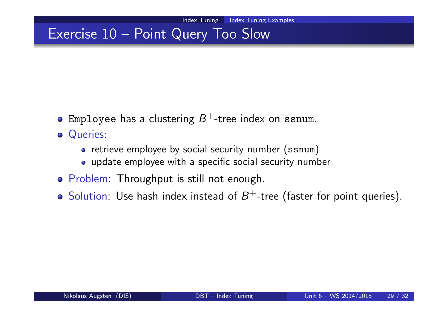## Exercise 10 – Point Query Too Slow

- Employee has a clustering  $B^+$ -tree index on ssnum.
- Queries:
	- retrieve employee by social security number (ssnum)
	- update employee with a specific social security number
- **•** Problem: Throughput is still not enough.
- Solution: Use hash index instead of  $B^+$ -tree (faster for point queries).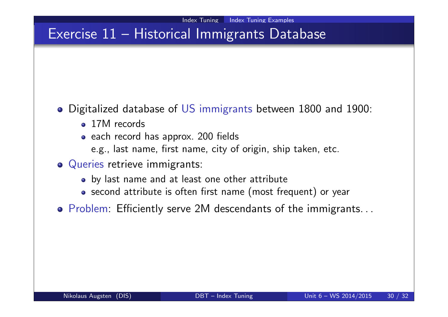# Exercise 11 – Historical Immigrants Database

- Digitalized database of US immigrants between 1800 and 1900:
	- 17M records
	- each record has approx. 200 fields
		- e.g., last name, first name, city of origin, ship taken, etc.
- Queries retrieve immigrants:
	- by last name and at least one other attribute
	- second attribute is often first name (most frequent) or year
- Problem: Efficiently serve 2M descendants of the immigrants. . .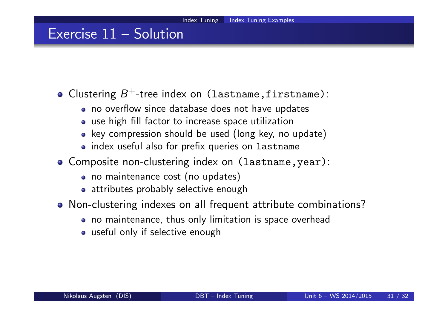### Exercise 11 – Solution

Clustering  $B^+$ -tree index on (lastname, firstname):

- no overflow since database does not have updates
- use high fill factor to increase space utilization
- key compression should be used (long key, no update)
- index useful also for prefix queries on lastname
- Composite non-clustering index on (lastname,year):
	- no maintenance cost (no updates)
	- attributes probably selective enough
- Non-clustering indexes on all frequent attribute combinations?
	- no maintenance, thus only limitation is space overhead
	- useful only if selective enough